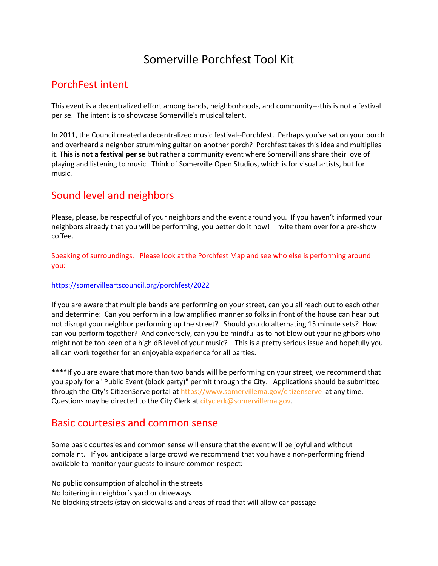# Somerville Porchfest Tool Kit

# PorchFest intent

This event is a decentralized effort among bands, neighborhoods, and community---this is not a festival per se. The intent is to showcase Somerville's musical talent.

In 2011, the Council created a decentralized music festival--Porchfest. Perhaps you've sat on your porch and overheard a neighbor strumming guitar on another porch? Porchfest takes this idea and multiplies it. **This is not a festival per se** but rather a community event where Somervillians share their love of playing and listening to music. Think of Somerville Open Studios, which is for visual artists, but for music.

# Sound level and neighbors

Please, please, be respectful of your neighbors and the event around you. If you haven't informed your neighbors already that you will be performing, you better do it now! Invite them over for a pre-show coffee.

Speaking of surroundings. Please look at the Porchfest Map and see who else is performing around you:

#### <https://somervilleartscouncil.org/porchfest/2022>

If you are aware that multiple bands are performing on your street, can you all reach out to each other and determine: Can you perform in a low amplified manner so folks in front of the house can hear but not disrupt your neighbor performing up the street? Should you do alternating 15 minute sets? How can you perform together? And conversely, can you be mindful as to not blow out your neighbors who might not be too keen of a high dB level of your music? This is a pretty serious issue and hopefully you all can work together for an enjoyable experience for all parties.

\*\*\*\*If you are aware that more than two bands will be performing on your street, we recommend that you apply for a "Public Event (block party)" permit through the City. Applications should be submitted through the City's CitizenServe portal at <https://www.somervillema.gov/citizenserve> at any time. Questions may be directed to the City Clerk at [cityclerk@somervillema.gov.](mailto:cityclerk@somervillema.gov)

### Basic courtesies and common sense

Some basic courtesies and common sense will ensure that the event will be joyful and without complaint. If you anticipate a large crowd we recommend that you have a non-performing friend available to monitor your guests to insure common respect:

No public consumption of alcohol in the streets No loitering in neighbor's yard or driveways No blocking streets (stay on sidewalks and areas of road that will allow car passage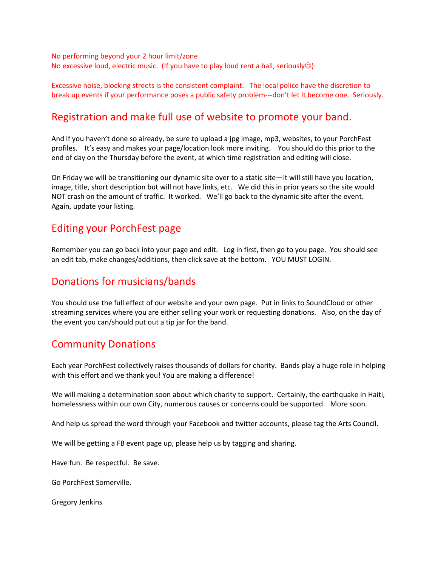No performing beyond your 2 hour limit/zone No excessive loud, electric music. (If you have to play loud rent a hall, seriously $\circledcirc$ )

Excessive noise, blocking streets is the consistent complaint. The local police have the discretion to break up events if your performance poses a public safety problem---don't let it become one. Seriously.

# Registration and make full use of website to promote your band.

And if you haven't done so already, be sure to upload a jpg image, mp3, websites, to your PorchFest profiles. It's easy and makes your page/location look more inviting. You should do this prior to the end of day on the Thursday before the event, at which time registration and editing will close.

On Friday we will be transitioning our dynamic site over to a static site—it will still have you location, image, title, short description but will not have links, etc. We did this in prior years so the site would NOT crash on the amount of traffic. It worked. We'll go back to the dynamic site after the event. Again, update your listing.

# Editing your PorchFest page

Remember you can go back into your page and edit. Log in first, then go to you page. You should see an edit tab, make changes/additions, then click save at the bottom. YOU MUST LOGIN.

# Donations for musicians/bands

You should use the full effect of our website and your own page. Put in links to SoundCloud or other streaming services where you are either selling your work or requesting donations. Also, on the day of the event you can/should put out a tip jar for the band.

# Community Donations

Each year PorchFest collectively raises thousands of dollars for charity. Bands play a huge role in helping with this effort and we thank you! You are making a difference!

We will making a determination soon about which charity to support. Certainly, the earthquake in Haiti, homelessness within our own City, numerous causes or concerns could be supported. More soon.

And help us spread the word through your Facebook and twitter accounts, please tag the Arts Council.

We will be getting a FB event page up, please help us by tagging and sharing.

Have fun. Be respectful. Be save.

Go PorchFest Somerville.

Gregory Jenkins